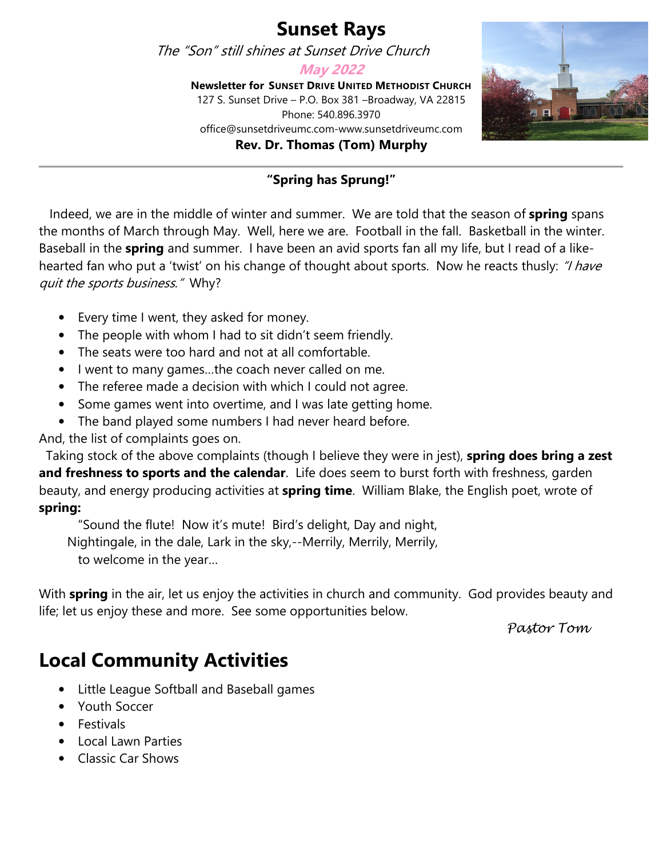#### **Sunset Rays**

The "Son" still shines at Sunset Drive Church

**May 2022** 

**Newsletter for SUNSET DRIVE UNITED METHODIST CHURCH** 127 S. Sunset Drive – P.O. Box 381 –Broadway, VA 22815 Phone: 540.896.3970 office@sunsetdriveumc.com-www.sunsetdriveumc.com **Rev. Dr. Thomas (Tom) Murphy**



#### **"Spring has Sprung!"**

 Indeed, we are in the middle of winter and summer. We are told that the season of **spring** spans the months of March through May. Well, here we are. Football in the fall. Basketball in the winter. Baseball in the **spring** and summer. I have been an avid sports fan all my life, but I read of a likehearted fan who put a 'twist' on his change of thought about sports. Now he reacts thusly: "I have quit the sports business." Why?

- Every time I went, they asked for money.
- The people with whom I had to sit didn't seem friendly.
- The seats were too hard and not at all comfortable.
- I went to many games…the coach never called on me.
- The referee made a decision with which I could not agree.
- Some games went into overtime, and I was late getting home.
- The band played some numbers I had never heard before.

And, the list of complaints goes on.

 Taking stock of the above complaints (though I believe they were in jest), **spring does bring a zest and freshness to sports and the calendar**. Life does seem to burst forth with freshness, garden beauty, and energy producing activities at **spring time**. William Blake, the English poet, wrote of **spring:**

"Sound the flute! Now it's mute! Bird's delight, Day and night,

Nightingale, in the dale, Lark in the sky,--Merrily, Merrily, Merrily,

to welcome in the year…

With **spring** in the air, let us enjoy the activities in church and community. God provides beauty and life; let us enjoy these and more. See some opportunities below. experience of the matter of company opportunities of the company of the pastor Tom

## **Local Community Activities**

- Little League Softball and Baseball games
- Youth Soccer
- Festivals
- Local Lawn Parties
- Classic Car Shows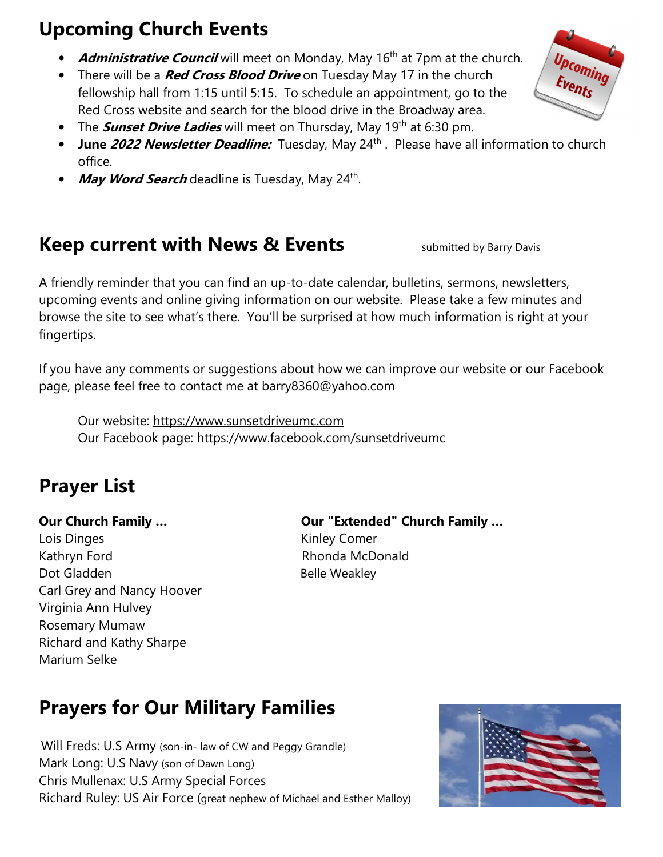# **Upcoming Church Events**

- **Administrative Council** will meet on Monday, May 16<sup>th</sup> at 7pm at the church.
- There will be a **Red Cross Blood Drive** on Tuesday May 17 in the church fellowship hall from 1:15 until 5:15. To schedule an appointment, go to the Red Cross website and search for the blood drive in the Broadway area.
- The **Sunset Drive Ladies** will meet on Thursday, May 19<sup>th</sup> at 6:30 pm.
- **June 2022 Newsletter Deadline:** Tuesday, May 24<sup>th</sup>. Please have all information to church office.
- **May Word Search** deadline is Tuesday, May 24<sup>th</sup>.

#### **Keep current with News & Events** Submitted by Barry Davis

A friendly reminder that you can find an up-to-date calendar, bulletins, sermons, newsletters, upcoming events and online giving information on our website. Please take a few minutes and browse the site to see what's there. You'll be surprised at how much information is right at your fingertips.

If you have any comments or suggestions about how we can improve our website or our Facebook page, please feel free to contact me at barry8360@yahoo.com

 Our website: https://www.sunsetdriveumc.com Our Facebook page: https://www.facebook.com/sunsetdriveumc

# **Prayer List**

Lois Dinges **Kinley Comer** Kathryn Ford **Rhonda McDonald** Dot Gladden Belle Weakley Carl Grey and Nancy Hoover Virginia Ann Hulvey Rosemary Mumaw Richard and Kathy Sharpe Marium Selke

**Our Church Family … Our "Extended" Church Family …** 

# **Prayers for Our Military Families**

 Will Freds: U.S Army (son-in- law of CW and Peggy Grandle) Mark Long: U.S Navy (son of Dawn Long) Chris Mullenax: U.S Army Special Forces Richard Ruley: US Air Force (great nephew of Michael and Esther Malloy)



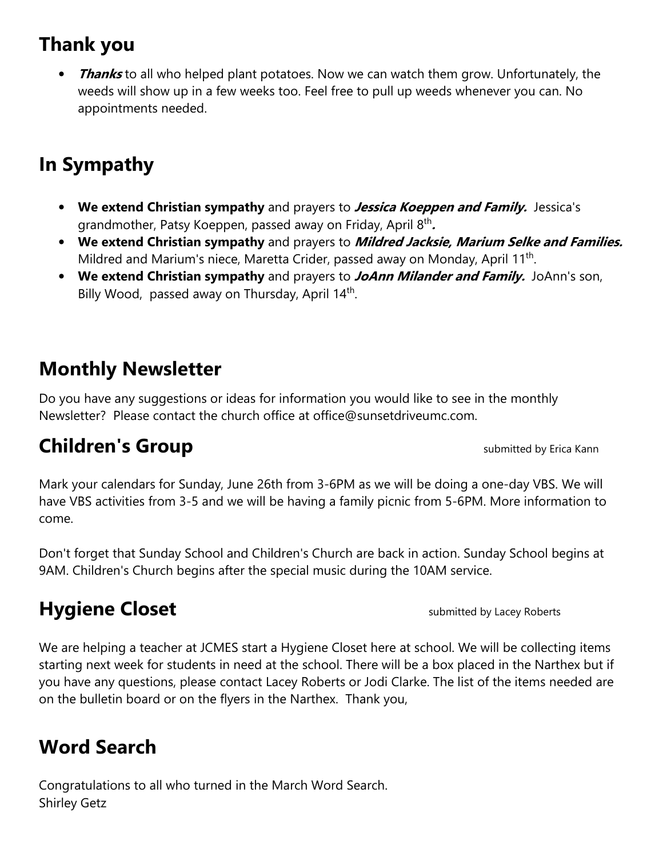## **Thank you**

*Thanks* to all who helped plant potatoes. Now we can watch them grow. Unfortunately, the weeds will show up in a few weeks too. Feel free to pull up weeds whenever you can. No appointments needed.

# **In Sympathy**

- **We extend Christian sympathy** and prayers to **Jessica Koeppen and Family.** Jessica's grandmother, Patsy Koeppen, passed away on Friday, April 8th **.**
- **We extend Christian sympathy** and prayers to **Mildred Jacksie, Marium Selke and Families.**  Mildred and Marium's niece, Maretta Crider, passed away on Monday, April 11<sup>th</sup>.
- **We extend Christian sympathy** and prayers to **JoAnn Milander and Family.** JoAnn's son, Billy Wood, passed away on Thursday, April 14<sup>th</sup>.

## **Monthly Newsletter**

Do you have any suggestions or ideas for information you would like to see in the monthly Newsletter? Please contact the church office at office@sunsetdriveumc.com.

# **Children's Group Children's Group**

Mark your calendars for Sunday, June 26th from 3-6PM as we will be doing a one-day VBS. We will have VBS activities from 3-5 and we will be having a family picnic from 5-6PM. More information to come.

Don't forget that Sunday School and Children's Church are back in action. Sunday School begins at 9AM. Children's Church begins after the special music during the 10AM service.

# **Hygiene Closet Submitted by Lacey Roberts**

We are helping a teacher at JCMES start a Hygiene Closet here at school. We will be collecting items starting next week for students in need at the school. There will be a box placed in the Narthex but if you have any questions, please contact Lacey Roberts or Jodi Clarke. The list of the items needed are on the bulletin board or on the flyers in the Narthex. Thank you,

## **Word Search**

Congratulations to all who turned in the March Word Search. Shirley Getz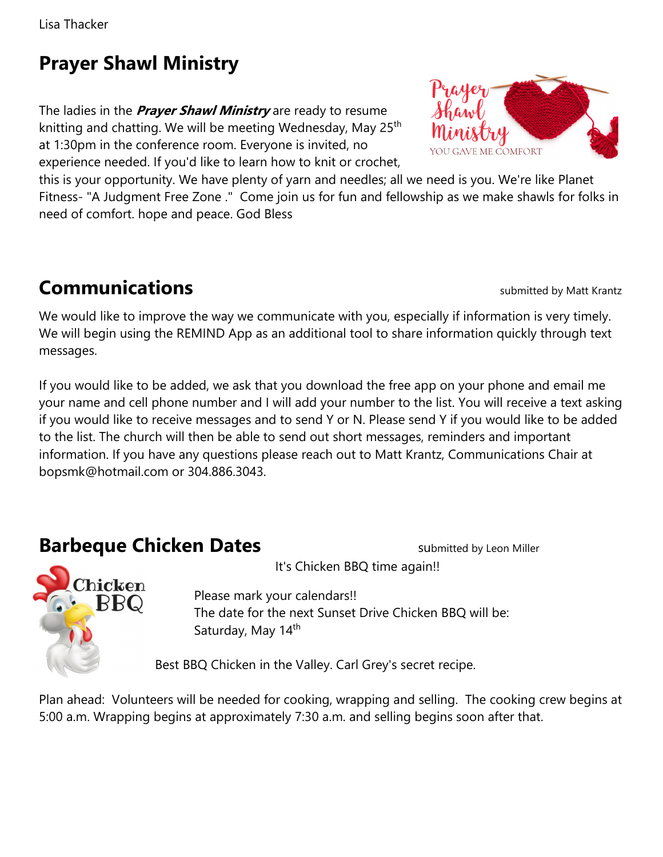Lisa Thacker

## **Prayer Shawl Ministry**

The ladies in the **Prayer Shawl Ministry** are ready to resume knitting and chatting. We will be meeting Wednesday, May 25<sup>th</sup> at 1:30pm in the conference room. Everyone is invited, no experience needed. If you'd like to learn how to knit or crochet,



this is your opportunity. We have plenty of yarn and needles; all we need is you. We're like Planet Fitness- "A Judgment Free Zone ." Come join us for fun and fellowship as we make shawls for folks in need of comfort. hope and peace. God Bless

# **Communications Submitted by Matt Krantz**

We would like to improve the way we communicate with you, especially if information is very timely. We will begin using the REMIND App as an additional tool to share information quickly through text messages.

If you would like to be added, we ask that you download the free app on your phone and email me your name and cell phone number and I will add your number to the list. You will receive a text asking if you would like to receive messages and to send Y or N. Please send Y if you would like to be added to the list. The church will then be able to send out short messages, reminders and important information. If you have any questions please reach out to Matt Krantz, Communications Chair at bopsmk@hotmail.com or 304.886.3043.

#### **Barbeque Chicken Dates**<br>**Barbeque Chicken Dates**

hicken BBQ

It's Chicken BBQ time again!!

 Please mark your calendars!! The date for the next Sunset Drive Chicken BBQ will be: Saturday, May 14<sup>th</sup>

Best BBQ Chicken in the Valley. Carl Grey's secret recipe.

Plan ahead: Volunteers will be needed for cooking, wrapping and selling. The cooking crew begins at 5:00 a.m. Wrapping begins at approximately 7:30 a.m. and selling begins soon after that.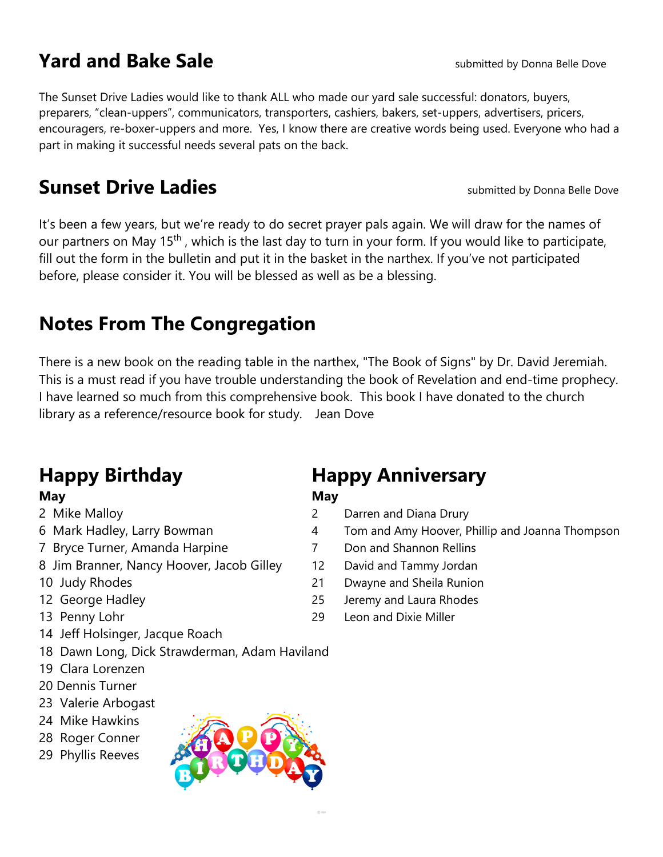#### **Yard and Bake Sale Sale Sale Sale Sale Sale Sale Sale Sale Sale Sale Sale Bove Sale Bove Sale Bove Sale Bove Sale Bove Sale Bove Sale Bove Sale Bove Sale Bove Sale**

The Sunset Drive Ladies would like to thank ALL who made our yard sale successful: donators, buyers, preparers, "clean-uppers", communicators, transporters, cashiers, bakers, set-uppers, advertisers, pricers, encouragers, re-boxer-uppers and more. Yes, I know there are creative words being used. Everyone who had a part in making it successful needs several pats on the back.

#### **Sunset Drive Ladies Sunset Drive Ladies submitted by Donna Belle Dove**

It's been a few years, but we're ready to do secret prayer pals again. We will draw for the names of our partners on May 15<sup>th</sup>, which is the last day to turn in your form. If you would like to participate, fill out the form in the bulletin and put it in the basket in the narthex. If you've not participated before, please consider it. You will be blessed as well as be a blessing.

## **Notes From The Congregation**

There is a new book on the reading table in the narthex, "The Book of Signs" by Dr. David Jeremiah. This is a must read if you have trouble understanding the book of Revelation and end-time prophecy. I have learned so much from this comprehensive book. This book I have donated to the church library as a reference/resource book for study. Jean Dove

- 
- 
- 7 Bryce Turner, Amanda Harpine 7 Don and Shannon Rellins
- 8 Jim Branner, Nancy Hoover, Jacob Gilley 12 David and Tammy Jordan
- 
- 
- 
- 14 Jeff Holsinger, Jacque Roach
- 18 Dawn Long, Dick Strawderman, Adam Haviland
- 19 Clara Lorenzen
- 20 Dennis Turner
- 23 Valerie Arbogast
- 24 Mike Hawkins
- 28 Roger Conner
- 29 Phyllis Reeves



## **Happy Birthday Happy Anniversary**

#### **May May**

- 2 Mike Malloy 2 Darren and Diana Drury
- 6 Mark Hadley, Larry Bowman 1 and Amy Hoover, Phillip and Joanna Thompson
	-
	-
- 10 Judy Rhodes 21 Dwayne and Sheila Runion
- 12 George Hadley 25 Jeremy and Laura Rhodes
- 13 Penny Lohr 29 Leon and Dixie Miller